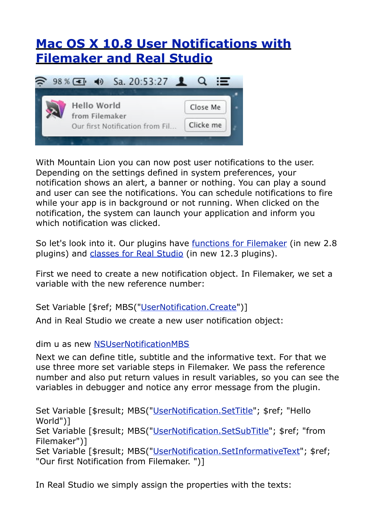## **[Mac OS X 10.8 User Notifications with](http://www.mbsplugins.de/archive/2012-07-28/Mac_OS_X_108_User_Notification)  [Filemaker and Real Studio](http://www.mbsplugins.de/archive/2012-07-28/Mac_OS_X_108_User_Notification)**



With Mountain Lion you can now post user notifications to the user. Depending on the settings defined in system preferences, your notification shows an alert, a banner or nothing. You can play a sound and user can see the notifications. You can schedule notifications to fire while your app is in background or not running. When clicked on the notification, the system can launch your application and inform you which notification was clicked.

So let's look into it. Our plugins have [functions for Filemaker](http://www.mbsplugins.eu/component_UserNotification.shtml) (in new 2.8 plugins) and [classes for Real Studio](http://www.monkeybreadsoftware.net/pluginpart-nsusernotification.shtml) (in new 12.3 plugins).

First we need to create a new notification object. In Filemaker, we set a variable with the new reference number:

Set Variable [\$ref; MBS(["UserNotification.Create](http://www.mbsplugins.eu/UserNotificationCreate.shtml)")]

And in Real Studio we create a new user notification object:

dim u as new [NSUserNotificationMBS](http://www.monkeybreadsoftware.net/class-nsusernotificationmbs.shtml)

Next we can define title, subtitle and the informative text. For that we use three more set variable steps in Filemaker. We pass the reference number and also put return values in result variables, so you can see the variables in debugger and notice any error message from the plugin.

Set Variable [\$result; MBS(["UserNotification.SetTitle](http://www.mbsplugins.eu/UserNotificationSetTitle.shtml)"; \$ref; "Hello World")] Set Variable [\$result; MBS(["UserNotification.SetSubTitle](http://www.mbsplugins.eu/UserNotificationSetSubTitle.shtml)"; \$ref; "from Filemaker")] Set Variable [\$result; MBS(["UserNotification.SetInformativeText"](http://www.mbsplugins.eu/UserNotificationSetInformativeText.shtml); \$ref; "Our first Notification from Filemaker. ")]

In Real Studio we simply assign the properties with the texts: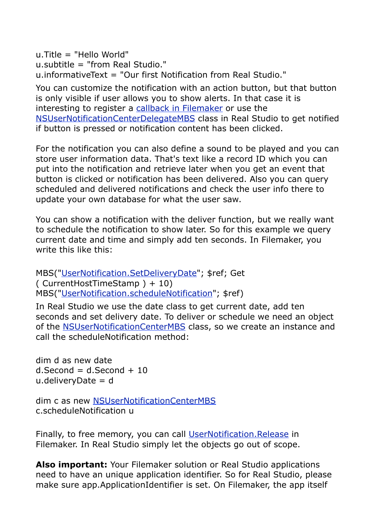u.Title = "Hello World" u.subtitle = "from Real Studio." u.informativeText = "Our first Notification from Real Studio."

You can customize the notification with an action button, but that button is only visible if user allows you to show alerts. In that case it is interesting to register a [callback in Filemaker](http://www.mbsplugins.eu/UserNotificationSetDidActivateNotificationScript.shtml) or use the [NSUserNotificationCenterDelegateMBS](http://www.monkeybreadsoftware.net/class-nsusernotificationcenterdelegatembs.shtml) class in Real Studio to get notified if button is pressed or notification content has been clicked.

For the notification you can also define a sound to be played and you can store user information data. That's text like a record ID which you can put into the notification and retrieve later when you get an event that button is clicked or notification has been delivered. Also you can query scheduled and delivered notifications and check the user info there to update your own database for what the user saw.

You can show a notification with the deliver function, but we really want to schedule the notification to show later. So for this example we query current date and time and simply add ten seconds. In Filemaker, you write this like this:

MBS(["UserNotification.SetDeliveryDate](http://www.mbsplugins.eu/UserNotificationSetDeliveryDate.shtml)"; \$ref; Get ( CurrentHostTimeStamp ) + 10) MBS(["UserNotification.scheduleNotification](http://www.mbsplugins.eu/UserNotificationscheduleNotification.shtml)"; \$ref)

In Real Studio we use the date class to get current date, add ten seconds and set delivery date. To deliver or schedule we need an object of the [NSUserNotificationCenterMBS](http://www.monkeybreadsoftware.net/class-nsusernotificationcentermbs.shtml) class, so we create an instance and call the scheduleNotification method:

dim d as new date  $d$ . Second =  $d$ . Second + 10 u.deliveryDate = d

dim c as new [NSUserNotificationCenterMBS](http://www.monkeybreadsoftware.net/class-nsusernotificationcentermbs.shtml) c.scheduleNotification u

Finally, to free memory, you can call [UserNotification.Release](http://www.mbsplugins.eu/UserNotificationRelease.shtml) in Filemaker. In Real Studio simply let the objects go out of scope.

**Also important:** Your Filemaker solution or Real Studio applications need to have an unique application identifier. So for Real Studio, please make sure app.ApplicationIdentifier is set. On Filemaker, the app itself